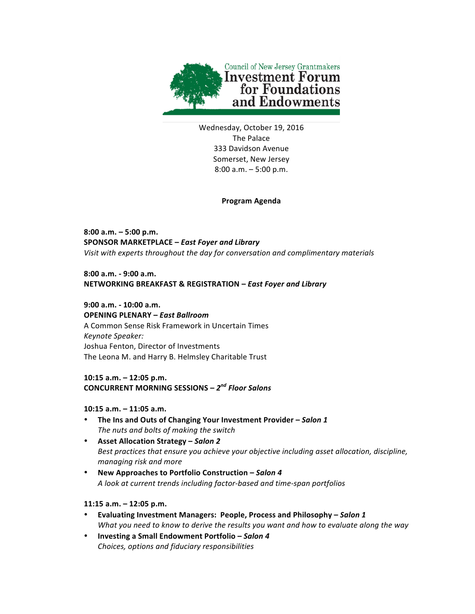

Wednesday, October 19, 2016 The Palace 333 Davidson Avenue Somerset, New Jersey  $8:00$  a.m.  $-5:00$  p.m.

#### **Program Agenda**

**8:00 a.m. – 5:00 p.m. SPONSOR MARKETPLACE –** *East Foyer and Library* Visit with experts throughout the day for conversation and complimentary materials

**8:00 a.m. - 9:00 a.m. NETWORKING BREAKFAST & REGISTRATION –** *East Foyer and Library*

**9:00 a.m. - 10:00 a.m. OPENING PLENARY –** *East Ballroom* A Common Sense Risk Framework in Uncertain Times *Keynote Speaker:*  Joshua Fenton, Director of Investments The Leona M. and Harry B. Helmsley Charitable Trust

## 10:15 a.m. – 12:05 p.m. **CONCURRENT MORNING SESSIONS –** *2nd Floor Salons*

#### **10:15 a.m. – 11:05 a.m.**

- The Ins and Outs of Changing Your Investment Provider Salon 1 The nuts and bolts of making the switch
- **Asset Allocation Strategy –** *Salon 2* Best practices that ensure you achieve your objective including asset allocation, discipline, *managing risk and more*
- New Approaches to Portfolio Construction Salon 4 *A look at current trends including factor-based and time-span portfolios*

#### **11:15 a.m. – 12:05 p.m.**

- **Evaluating Investment Managers: People, Process and Philosophy –** *Salon 1 What you need to know to derive the results you want and how to evaluate along the way*
- **Investing a Small Endowment Portfolio –** *Salon 4 Choices, options and fiduciary responsibilities*